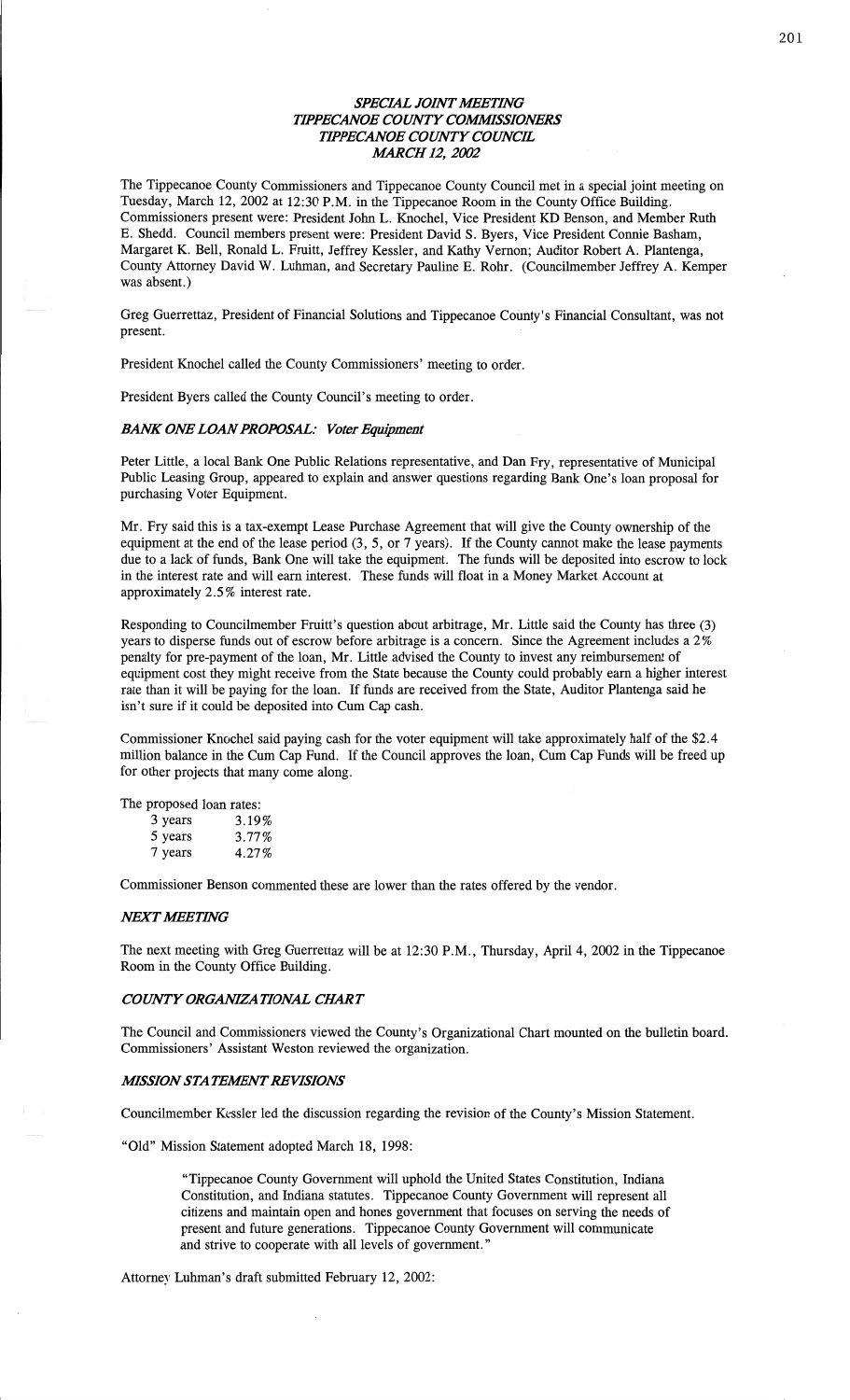# **SPECIAL JOINT MEETING** *WPECANOE COWTY COWSSIOIVEES' WPECANOE COWTY COUNCE AIARCH* **12,** *2002*

**The Tippecanoe County Commissioners and** Tippecanoe County **Council met in a** special joint meeting **on**  Tuesday, March **12,** 2002 **at 12:30** P.M. **in the** Tippecanoe **Room in the County Office** Building. Commissioners present were: President John **L. Knochel,** Vice President **KD Benson, and** Member **Ruth B.** Shedd. Council members present were: President David **S.** Byers, Vice President **Connie Basham,**  Margaret **K.** Bell, Ronald **L.** Fruitt, Jeffrey Kessler, **and** Kathy Vernon; **Auditor** Robert **A. Plantenga, County** Attorney **David W. Luhman, and** Secretary **Pauline E.** Rohr. (Councilmember Jeffrey **A. Kemper was** absent.)

Greg **Guerrettaz,** President **of Financial Solufions and Tippecanoe Coimty's** Financial **Consultant, was not**  present.

President **Knochel** called **the County Commissioners' meeting to order.** 

**President Byers** called **the County** Council's meeting **to order.** 

## *BANK* **01W?** *LOAN PROPOSAL: Voter Equipment*

Peter Little, **a** local Bank **One** Public **Relations** representative, **and Dan** Fry, representative **of Municipal**  Public Leasing Group, appeared **to explain and** answer questions regarding Bank **One's loan** proposal **for purchasing** Voter Equipment.

**Mr. Fry said this is a tax-exempt** Lease **Purchase** Agreement **that** will give **the** County **ownership of the**  equipment **at the end of the** lease period **(3, 5, or** 7 years); **If the** County **cannot make the** lease payments **due to a** lack **of funds, Bank One** will **take the equipment. The funds** will **be deposited** into escrow **to** lock **in the** interest rate **and** will earn **interest.** These **funds** will **float in a** Money Market Account **at**  approximately 2.5% **interest** rate.

Responding **to** Councilmember **Fruitt's** question about arbitrage, **Mr.** Little said **the** County **has** three **(3)**  years **to** disperse funds **out of** escrow before arbitrage **is** a **concern.** Since **the Agreement includes** a **2%**  penalty **for** pre—payment **of the** loan, **Mr.** Little advised **the County to invest any** reimbursement **of**  equipment cost they **might** receive from **the** State because **the** County could probably earn a **higher** interest rate than **it** will **be** paying **for the** loan. **If funds are** received from **the** State, **Auditor** Plantenga said **he isn't** sure **if it** could **be** deposited into **Cum Cap** cash.

**Commissioner** Knochel said paying cash **for the** voter equipment will take **approximately** half **of the \$2.4**  million balance **in the Cum Cap Fund. If the** Council approves **the loan, Cum Cap Funds** will **be** freed **up for** other **projects** that **many come** along.

**The proposed** loan rates:

| 3 years | 3.19%    |
|---------|----------|
| 5 years | $3.77\%$ |
| 7 years | 4.27%    |

**Commissioner Benson cemented these are** lower **than the rates offered by the vendor.** 

#### *MXTJMEEYWG*

**The** next meeting with Greg Guerrettaz will **be at** 12:30 P.M. , Thursday, **April 4,** 2002 **in the Tippecanoe**  Room **in the** County **Office** Building.

#### **COUNTY ORGANIZATIONAL CHART**

**The Council and Commissioners** viewed **the County's** Organizational **Chart mounted on the bulletin** board. **Commissioners' Assistant** Weston reviewed **the organization.** 

### *MSSION STAIEAENT REVISIONS*

Councilmember Kessler **led the discussion** regarding **the** revision **of the County's Mission Statement.** 

"01d" **Mission Statement** adopted March **18,** 1998:

"Tippecanoe County Government will **uphold the** United **States** Constitution, Indiana Constitution, **and Indiana** statutes. Tippecanoe **County Government** will represent **all**  citizens **and maintain** open **and homes** government that **focuses on** serving **the needs of present and** future generations. **Tippecanoe County** Government will **communicate and** strive **to** cooperate with **all** levels **of government."** 

Attorney **Luhman's draft submitted** February **12,** 2002: